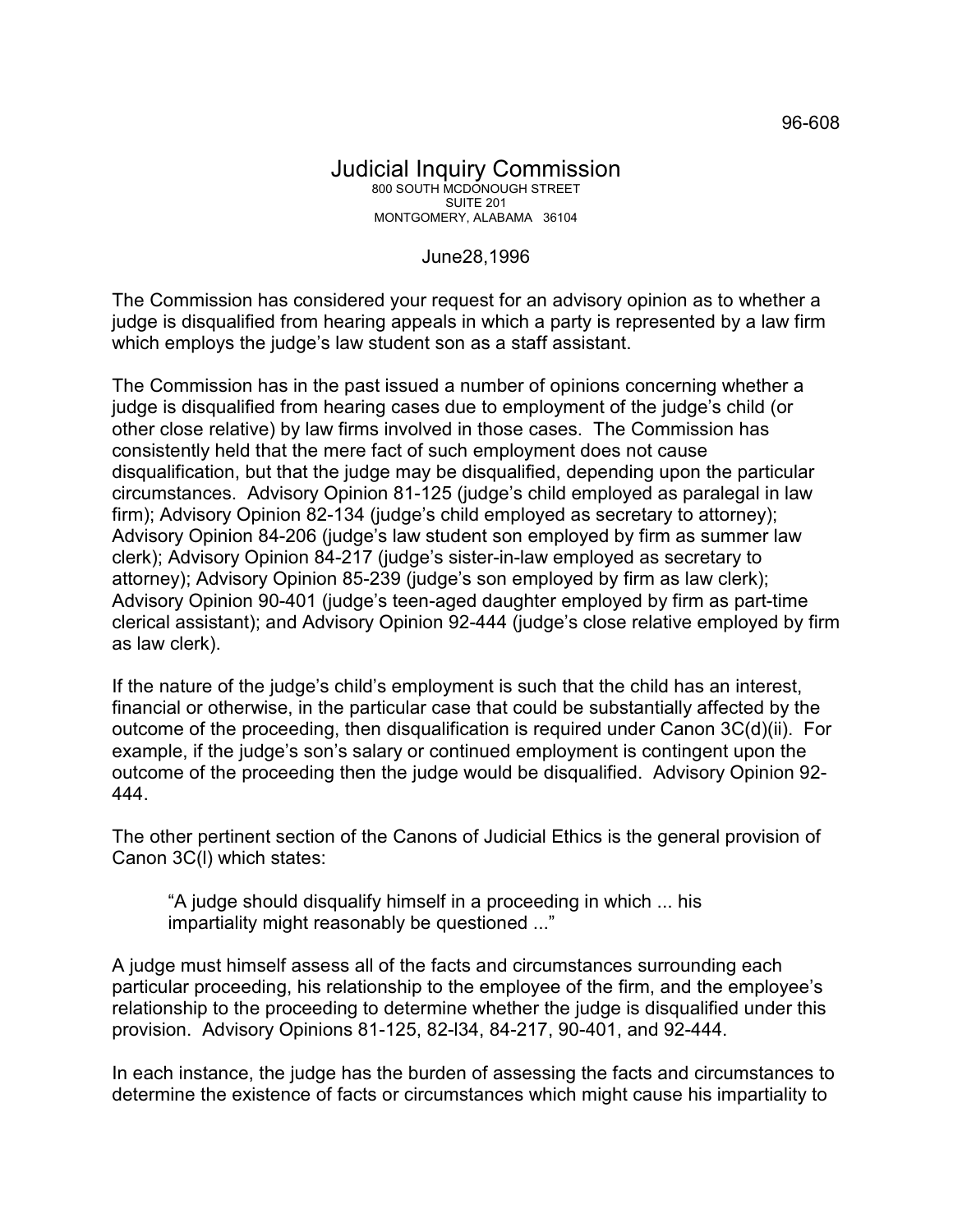June28,1996

The Commission has considered your request for an advisory opinion as to whether a judge is disqualified from hearing appeals in which a party is represented by a law firm which employs the judge's law student son as a staff assistant.

The Commission has in the past issued a number of opinions concerning whether a judge is disqualified from hearing cases due to employment of the judge's child (or other close relative) by law firms involved in those cases. The Commission has consistently held that the mere fact of such employment does not cause disqualification, but that the judge may be disqualified, depending upon the particular circumstances. Advisory Opinion 81-125 (judge's child employed as paralegal in law firm); Advisory Opinion 82-134 (judge's child employed as secretary to attorney); Advisory Opinion 84-206 (judge's law student son employed by firm as summer law clerk); Advisory Opinion 84-217 (judge's sister-in-law employed as secretary to attorney); Advisory Opinion 85-239 (judge's son employed by firm as law clerk); Advisory Opinion 90-401 (judge's teen-aged daughter employed by firm as part-time clerical assistant); and Advisory Opinion 92-444 (judge's close relative employed by firm as law clerk).

If the nature of the judge's child's employment is such that the child has an interest, financial or otherwise, in the particular case that could be substantially affected by the outcome of the proceeding, then disqualification is required under Canon 3C(d)(ii). For example, if the judge's son's salary or continued employment is contingent upon the outcome of the proceeding then the judge would be disqualified. Advisory Opinion 92- 444.

The other pertinent section of the Canons of Judicial Ethics is the general provision of Canon 3C(l) which states:

"A judge should disqualify himself in a proceeding in which ... his impartiality might reasonably be questioned ..."

A judge must himself assess all of the facts and circumstances surrounding each particular proceeding, his relationship to the employee of the firm, and the employee's relationship to the proceeding to determine whether the judge is disqualified under this provision. Advisory Opinions 81-125, 82-l34, 84-217, 90-401, and 92-444.

In each instance, the judge has the burden of assessing the facts and circumstances to determine the existence of facts or circumstances which might cause his impartiality to